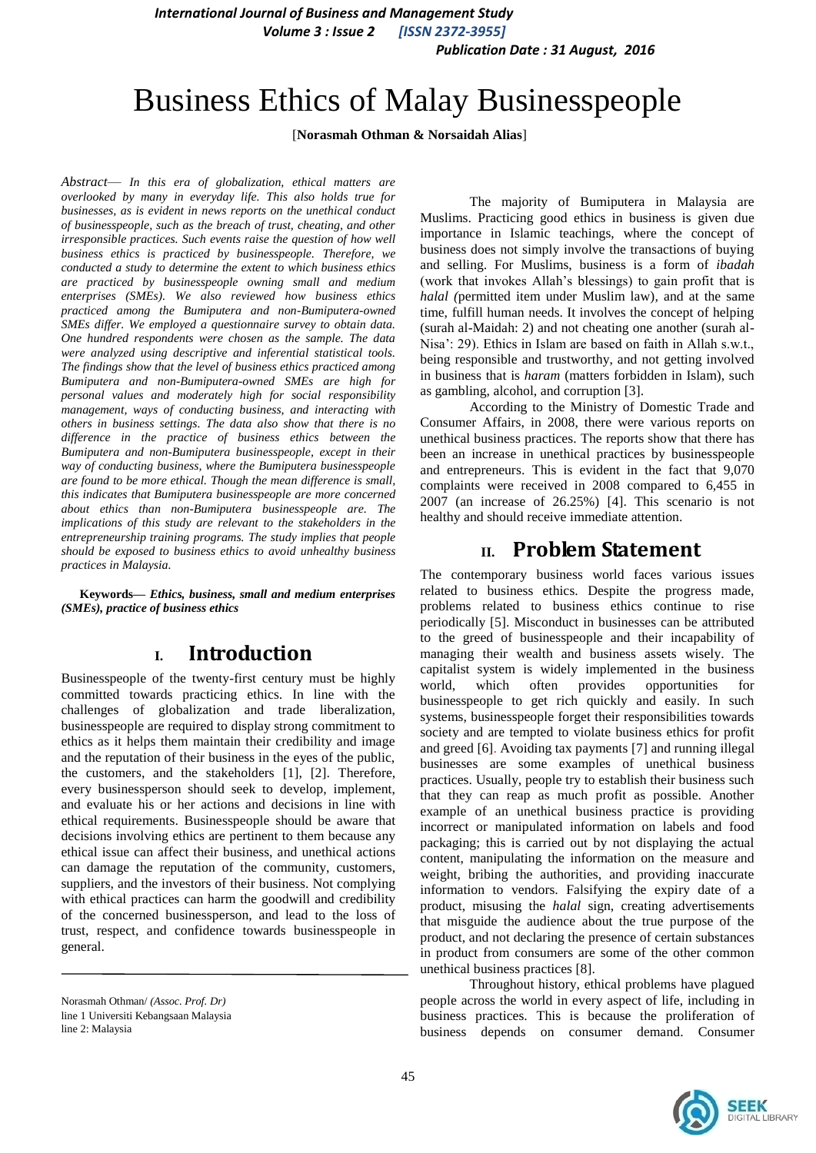*International Journal of Business and Management Study Volume 3 : Issue 2 [ISSN 2372-3955]*

 *Publication Date : 31 August, 2016*

# Business Ethics of Malay Businesspeople

[**Norasmah Othman & Norsaidah Alias**]

*Abstract*— *In this era of globalization, ethical matters are overlooked by many in everyday life. This also holds true for businesses, as is evident in news reports on the unethical conduct of businesspeople, such as the breach of trust, cheating, and other irresponsible practices. Such events raise the question of how well business ethics is practiced by businesspeople. Therefore, we conducted a study to determine the extent to which business ethics are practiced by businesspeople owning small and medium enterprises (SMEs). We also reviewed how business ethics practiced among the Bumiputera and non-Bumiputera-owned SMEs differ. We employed a questionnaire survey to obtain data. One hundred respondents were chosen as the sample. The data were analyzed using descriptive and inferential statistical tools. The findings show that the level of business ethics practiced among Bumiputera and non-Bumiputera-owned SMEs are high for personal values and moderately high for social responsibility management, ways of conducting business, and interacting with others in business settings. The data also show that there is no difference in the practice of business ethics between the Bumiputera and non-Bumiputera businesspeople, except in their way of conducting business, where the Bumiputera businesspeople are found to be more ethical. Though the mean difference is small, this indicates that Bumiputera businesspeople are more concerned about ethics than non-Bumiputera businesspeople are. The implications of this study are relevant to the stakeholders in the entrepreneurship training programs. The study implies that people should be exposed to business ethics to avoid unhealthy business practices in Malaysia.*

**Keywords—** *Ethics, business, small and medium enterprises (SMEs), practice of business ethics*

# **I. Introduction**

Businesspeople of the twenty-first century must be highly committed towards practicing ethics. In line with the challenges of globalization and trade liberalization, businesspeople are required to display strong commitment to ethics as it helps them maintain their credibility and image and the reputation of their business in the eyes of the public, the customers, and the stakeholders [1], [2]. Therefore, every businessperson should seek to develop, implement, and evaluate his or her actions and decisions in line with ethical requirements. Businesspeople should be aware that decisions involving ethics are pertinent to them because any ethical issue can affect their business, and unethical actions can damage the reputation of the community, customers, suppliers, and the investors of their business. Not complying with ethical practices can harm the goodwill and credibility of the concerned businessperson, and lead to the loss of trust, respect, and confidence towards businesspeople in general.

The majority of Bumiputera in Malaysia are Muslims. Practicing good ethics in business is given due importance in Islamic teachings, where the concept of business does not simply involve the transactions of buying and selling. For Muslims, business is a form of *ibadah* (work that invokes Allah's blessings) to gain profit that is *halal (*permitted item under Muslim law)*,* and at the same time, fulfill human needs. It involves the concept of helping (surah al-Maidah: 2) and not cheating one another (surah al-Nisa': 29). Ethics in Islam are based on faith in Allah s.w.t., being responsible and trustworthy, and not getting involved in business that is *haram* (matters forbidden in Islam), such as gambling, alcohol, and corruption [3].

According to the Ministry of Domestic Trade and Consumer Affairs, in 2008, there were various reports on unethical business practices. The reports show that there has been an increase in unethical practices by businesspeople and entrepreneurs. This is evident in the fact that 9,070 complaints were received in 2008 compared to 6,455 in 2007 (an increase of 26.25%) [4]. This scenario is not healthy and should receive immediate attention.

## **II. Problem Statement**

The contemporary business world faces various issues related to business ethics. Despite the progress made, problems related to business ethics continue to rise periodically [5]. Misconduct in businesses can be attributed to the greed of businesspeople and their incapability of managing their wealth and business assets wisely. The capitalist system is widely implemented in the business world, which often provides opportunities for businesspeople to get rich quickly and easily. In such systems, businesspeople forget their responsibilities towards society and are tempted to violate business ethics for profit and greed [6]. Avoiding tax payments [7] and running illegal businesses are some examples of unethical business practices. Usually, people try to establish their business such that they can reap as much profit as possible. Another example of an unethical business practice is providing incorrect or manipulated information on labels and food packaging; this is carried out by not displaying the actual content, manipulating the information on the measure and weight, bribing the authorities, and providing inaccurate information to vendors. Falsifying the expiry date of a product, misusing the *halal* sign, creating advertisements that misguide the audience about the true purpose of the product, and not declaring the presence of certain substances in product from consumers are some of the other common unethical business practices [8].

Throughout history, ethical problems have plagued people across the world in every aspect of life, including in business practices. This is because the proliferation of business depends on consumer demand. Consumer



Norasmah Othman/ *(Assoc. Prof. Dr)* line 1 Universiti Kebangsaan Malaysia line 2: Malaysia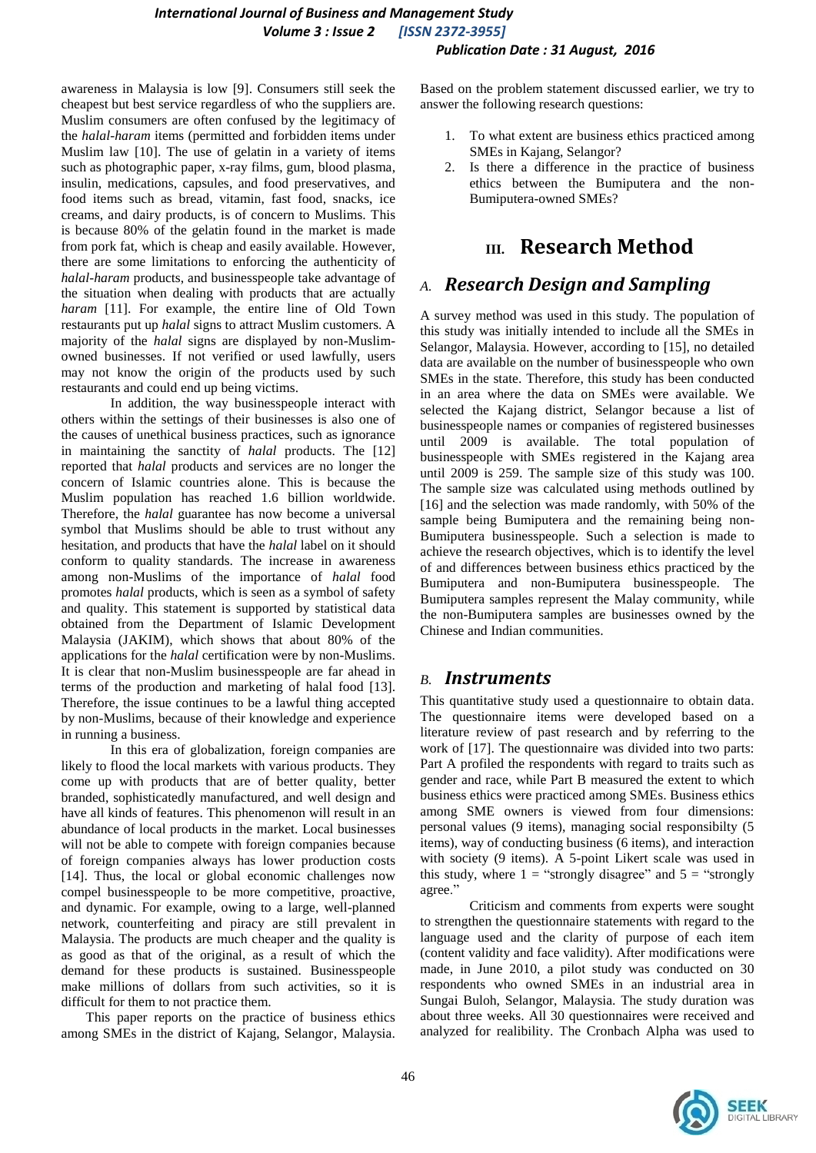#### *International Journal of Business and Management Study Volume 3 : Issue 2 [ISSN 2372-3955] Publication Date : 31 August, 2016*

awareness in Malaysia is low [9]. Consumers still seek the cheapest but best service regardless of who the suppliers are. Muslim consumers are often confused by the legitimacy of the *halal-haram* items (permitted and forbidden items under Muslim law [10]. The use of gelatin in a variety of items such as photographic paper, x-ray films, gum, blood plasma, insulin, medications, capsules, and food preservatives, and food items such as bread, vitamin, fast food, snacks, ice creams, and dairy products, is of concern to Muslims. This is because 80% of the gelatin found in the market is made from pork fat, which is cheap and easily available. However, there are some limitations to enforcing the authenticity of *halal-haram* products, and businesspeople take advantage of the situation when dealing with products that are actually *haram* [11]. For example, the entire line of Old Town restaurants put up *halal* signs to attract Muslim customers. A majority of the *halal* signs are displayed by non-Muslimowned businesses. If not verified or used lawfully, users may not know the origin of the products used by such restaurants and could end up being victims.

In addition, the way businesspeople interact with others within the settings of their businesses is also one of the causes of unethical business practices, such as ignorance in maintaining the sanctity of *halal* products. The [12] reported that *halal* products and services are no longer the concern of Islamic countries alone. This is because the Muslim population has reached 1.6 billion worldwide. Therefore, the *halal* guarantee has now become a universal symbol that Muslims should be able to trust without any hesitation, and products that have the *halal* label on it should conform to quality standards. The increase in awareness among non-Muslims of the importance of *halal* food promotes *halal* products, which is seen as a symbol of safety and quality. This statement is supported by statistical data obtained from the Department of Islamic Development Malaysia (JAKIM), which shows that about 80% of the applications for the *halal* certification were by non-Muslims. It is clear that non-Muslim businesspeople are far ahead in terms of the production and marketing of halal food [13]. Therefore, the issue continues to be a lawful thing accepted by non-Muslims, because of their knowledge and experience in running a business.

In this era of globalization, foreign companies are likely to flood the local markets with various products. They come up with products that are of better quality, better branded, sophisticatedly manufactured, and well design and have all kinds of features. This phenomenon will result in an abundance of local products in the market. Local businesses will not be able to compete with foreign companies because of foreign companies always has lower production costs [14]. Thus, the local or global economic challenges now compel businesspeople to be more competitive, proactive, and dynamic. For example, owing to a large, well-planned network, counterfeiting and piracy are still prevalent in Malaysia. The products are much cheaper and the quality is as good as that of the original, as a result of which the demand for these products is sustained. Businesspeople make millions of dollars from such activities, so it is difficult for them to not practice them.

This paper reports on the practice of business ethics among SMEs in the district of Kajang, Selangor, Malaysia.

Based on the problem statement discussed earlier, we try to answer the following research questions:

- 1. To what extent are business ethics practiced among SMEs in Kajang, Selangor?
- 2. Is there a difference in the practice of business ethics between the Bumiputera and the non-Bumiputera-owned SMEs?

# **III. Research Method**

### *A. Research Design and Sampling*

A survey method was used in this study. The population of this study was initially intended to include all the SMEs in Selangor, Malaysia. However, according to [15], no detailed data are available on the number of businesspeople who own SMEs in the state. Therefore, this study has been conducted in an area where the data on SMEs were available. We selected the Kajang district, Selangor because a list of businesspeople names or companies of registered businesses until 2009 is available. The total population of businesspeople with SMEs registered in the Kajang area until 2009 is 259. The sample size of this study was 100. The sample size was calculated using methods outlined by [16] and the selection was made randomly, with 50% of the sample being Bumiputera and the remaining being non-Bumiputera businesspeople. Such a selection is made to achieve the research objectives, which is to identify the level of and differences between business ethics practiced by the Bumiputera and non-Bumiputera businesspeople. The Bumiputera samples represent the Malay community, while the non-Bumiputera samples are businesses owned by the Chinese and Indian communities.

#### *B. Instruments*

This quantitative study used a questionnaire to obtain data. The questionnaire items were developed based on a literature review of past research and by referring to the work of [17]. The questionnaire was divided into two parts: Part A profiled the respondents with regard to traits such as gender and race, while Part B measured the extent to which business ethics were practiced among SMEs. Business ethics among SME owners is viewed from four dimensions: personal values (9 items), managing social responsibilty (5 items), way of conducting business (6 items), and interaction with society (9 items). A 5-point Likert scale was used in this study, where  $1 =$  "strongly disagree" and  $5 =$  "strongly" agree."

Criticism and comments from experts were sought to strengthen the questionnaire statements with regard to the language used and the clarity of purpose of each item (content validity and face validity). After modifications were made, in June 2010, a pilot study was conducted on 30 respondents who owned SMEs in an industrial area in Sungai Buloh, Selangor, Malaysia. The study duration was about three weeks. All 30 questionnaires were received and analyzed for realibility. The Cronbach Alpha was used to

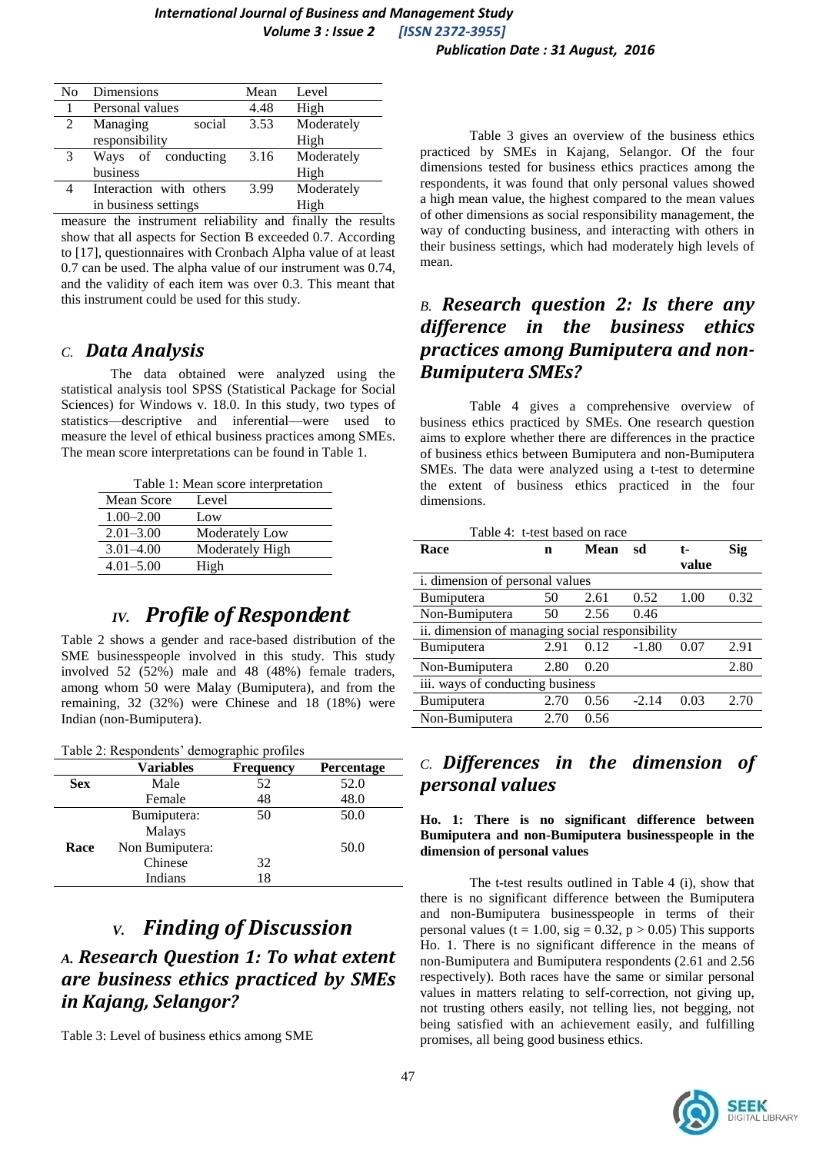| No | Dimensions              | Mean | Level      |
|----|-------------------------|------|------------|
|    | Personal values         | 4.48 | High       |
| 2  | Managing<br>social      | 3.53 | Moderately |
|    | responsibility          |      | High       |
| 3  | Ways of conducting      | 3.16 | Moderately |
|    | business                |      | High       |
|    | Interaction with others | 3.99 | Moderately |
|    | in business settings    |      | High       |

measure the instrument reliability and finally the results show that all aspects for Section B exceeded 0.7. According to [17], questionnaires with Cronbach Alpha value of at least 0.7 can be used. The alpha value of our instrument was 0.74, and the validity of each item was over 0.3. This meant that this instrument could be used for this study.

#### *C. Data Analysis*

The data obtained were analyzed using the statistical analysis tool SPSS (Statistical Package for Social Sciences) for Windows v. 18.0. In this study, two types of statistics—descriptive and inferential—were used to measure the level of ethical business practices among SMEs. The mean score interpretations can be found in Table 1.

Table 1: Mean score interpretation

| Mean Score    | Level           |
|---------------|-----------------|
| $1.00 - 2.00$ | Low             |
| $2.01 - 3.00$ | Moderately Low  |
| $3.01 - 4.00$ | Moderately High |
| $4.01 - 5.00$ | High            |

# *IV. Profile of Respondent*

Table 2 shows a gender and race-based distribution of the SME businesspeople involved in this study. This study involved 52 (52%) male and 48 (48%) female traders, among whom 50 were Malay (Bumiputera), and from the remaining, 32 (32%) were Chinese and 18 (18%) were Indian (non-Bumiputera).

Table 2: Respondents' demographic profiles

|            | <b>Variables</b> | <b>Frequency</b> | <b>Percentage</b> |
|------------|------------------|------------------|-------------------|
| <b>Sex</b> | Male             | 52               | 52.0              |
|            | Female           | 48               | 48.0              |
|            | Bumiputera:      | 50               | 50.0              |
|            | Malays           |                  |                   |
| Race       | Non Bumiputera:  |                  | 50.0              |
|            | Chinese          | 32               |                   |
|            | Indians          | 18               |                   |

# *V. Finding of Discussion*

# *A. Research Question 1: To what extent are business ethics practiced by SMEs in Kajang, Selangor?*

Table 3: Level of business ethics among SME

Table 3 gives an overview of the business ethics practiced by SMEs in Kajang, Selangor. Of the four dimensions tested for business ethics practices among the respondents, it was found that only personal values showed a high mean value, the highest compared to the mean values of other dimensions as social responsibility management, the way of conducting business, and interacting with others in their business settings, which had moderately high levels of mean.

## *B. Research question 2: Is there any difference in the business ethics practices among Bumiputera and non-Bumiputera SMEs?*

Table 4 gives a comprehensive overview of business ethics practiced by SMEs. One research question aims to explore whether there are differences in the practice of business ethics between Bumiputera and non-Bumiputera SMEs. The data were analyzed using a t-test to determine the extent of business ethics practiced in the four dimensions.

| Table 4: t-test based on race                   |      |      |         |       |      |  |  |  |
|-------------------------------------------------|------|------|---------|-------|------|--|--|--|
| Race                                            | n    | Mean | sd      | t-    | Sig  |  |  |  |
|                                                 |      |      |         | value |      |  |  |  |
| i. dimension of personal values                 |      |      |         |       |      |  |  |  |
| <b>Bumiputera</b>                               | 50   | 2.61 | 0.52    | 1.00  | 0.32 |  |  |  |
| Non-Bumiputera                                  | 50   | 2.56 | 0.46    |       |      |  |  |  |
| ii. dimension of managing social responsibility |      |      |         |       |      |  |  |  |
| Bumiputera                                      | 2.91 | 0.12 | $-1.80$ | 0.07  | 2.91 |  |  |  |
| Non-Bumiputera                                  | 2.80 | 0.20 |         |       | 2.80 |  |  |  |
| iii. ways of conducting business                |      |      |         |       |      |  |  |  |
| Bumiputera                                      | 2.70 | 0.56 | $-2.14$ | 0.03  | 2.70 |  |  |  |
| Non-Bumiputera                                  | 2.70 | 0.56 |         |       |      |  |  |  |

### *C. Differences in the dimension of personal values*

**Ho. 1: There is no significant difference between Bumiputera and non-Bumiputera businesspeople in the dimension of personal values** 

The t-test results outlined in Table 4 (i), show that there is no significant difference between the Bumiputera and non-Bumiputera businesspeople in terms of their personal values (t = 1.00, sig = 0.32, p > 0.05) This supports Ho. 1. There is no significant difference in the means of non-Bumiputera and Bumiputera respondents (2.61 and 2.56 respectively). Both races have the same or similar personal values in matters relating to self-correction, not giving up, not trusting others easily, not telling lies, not begging, not being satisfied with an achievement easily, and fulfilling promises, all being good business ethics.

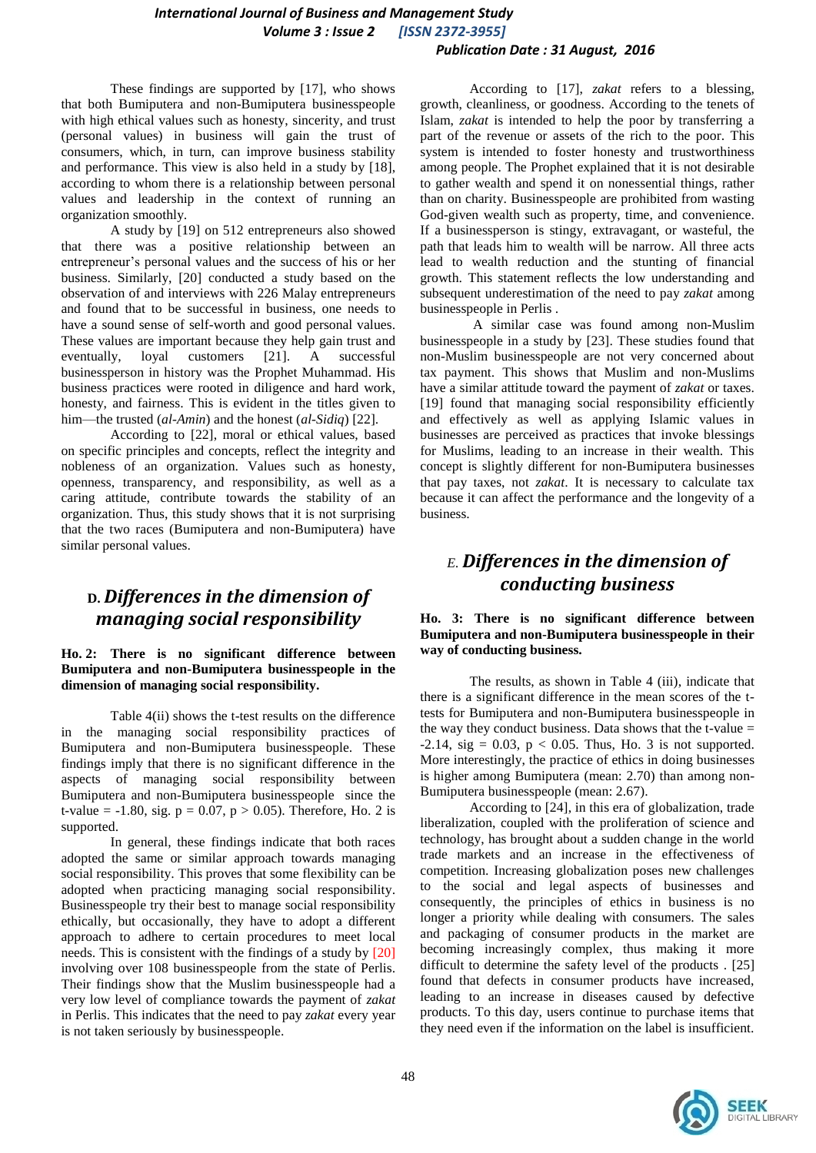#### *International Journal of Business and Management Study Volume 3 : Issue 2 [ISSN 2372-3955] Publication Date : 31 August, 2016*

These findings are supported by [17], who shows that both Bumiputera and non-Bumiputera businesspeople with high ethical values such as honesty, sincerity, and trust (personal values) in business will gain the trust of consumers, which, in turn, can improve business stability and performance. This view is also held in a study by [18], according to whom there is a relationship between personal values and leadership in the context of running an organization smoothly.

A study by [19] on 512 entrepreneurs also showed that there was a positive relationship between an entrepreneur's personal values and the success of his or her business. Similarly, [20] conducted a study based on the observation of and interviews with 226 Malay entrepreneurs and found that to be successful in business, one needs to have a sound sense of self-worth and good personal values. These values are important because they help gain trust and eventually, loyal customers [21]. A successful businessperson in history was the Prophet Muhammad. His business practices were rooted in diligence and hard work, honesty, and fairness. This is evident in the titles given to him—the trusted (*al-Amin*) and the honest (*al-Sidiq*) [22].

According to [22], moral or ethical values, based on specific principles and concepts, reflect the integrity and nobleness of an organization. Values such as honesty, openness, transparency, and responsibility, as well as a caring attitude, contribute towards the stability of an organization. Thus, this study shows that it is not surprising that the two races (Bumiputera and non-Bumiputera) have similar personal values.

### **D.** *Differences in the dimension of managing social responsibility*

**Ho. 2: There is no significant difference between Bumiputera and non-Bumiputera businesspeople in the dimension of managing social responsibility.**

Table 4(ii) shows the t-test results on the difference in the managing social responsibility practices of Bumiputera and non-Bumiputera businesspeople. These findings imply that there is no significant difference in the aspects of managing social responsibility between Bumiputera and non-Bumiputera businesspeople since the t-value =  $-1.80$ , sig.  $p = 0.07$ ,  $p > 0.05$ ). Therefore, Ho. 2 is supported.

In general, these findings indicate that both races adopted the same or similar approach towards managing social responsibility. This proves that some flexibility can be adopted when practicing managing social responsibility. Businesspeople try their best to manage social responsibility ethically, but occasionally, they have to adopt a different approach to adhere to certain procedures to meet local needs. This is consistent with the findings of a study by [20] involving over 108 businesspeople from the state of Perlis. Their findings show that the Muslim businesspeople had a very low level of compliance towards the payment of *zakat* in Perlis. This indicates that the need to pay *zakat* every year is not taken seriously by businesspeople.

According to [17], *zakat* refers to a blessing, growth, cleanliness, or goodness. According to the tenets of Islam, *zakat* is intended to help the poor by transferring a part of the revenue or assets of the rich to the poor. This system is intended to foster honesty and trustworthiness among people. The Prophet explained that it is not desirable to gather wealth and spend it on nonessential things, rather than on charity. Businesspeople are prohibited from wasting God-given wealth such as property, time, and convenience. If a businessperson is stingy, extravagant, or wasteful, the path that leads him to wealth will be narrow. All three acts lead to wealth reduction and the stunting of financial growth. This statement reflects the low understanding and subsequent underestimation of the need to pay *zakat* among businesspeople in Perlis .

A similar case was found among non-Muslim businesspeople in a study by [23]. These studies found that non-Muslim businesspeople are not very concerned about tax payment. This shows that Muslim and non-Muslims have a similar attitude toward the payment of *zakat* or taxes. [19] found that managing social responsibility efficiently and effectively as well as applying Islamic values in businesses are perceived as practices that invoke blessings for Muslims, leading to an increase in their wealth. This concept is slightly different for non-Bumiputera businesses that pay taxes, not *zakat*. It is necessary to calculate tax because it can affect the performance and the longevity of a business.

# *E. Differences in the dimension of conducting business*

#### **Ho. 3: There is no significant difference between Bumiputera and non-Bumiputera businesspeople in their way of conducting business.**

The results, as shown in Table 4 (iii), indicate that there is a significant difference in the mean scores of the ttests for Bumiputera and non-Bumiputera businesspeople in the way they conduct business. Data shows that the t-value  $=$  $-2.14$ , sig = 0.03, p < 0.05. Thus, Ho. 3 is not supported. More interestingly, the practice of ethics in doing businesses is higher among Bumiputera (mean: 2.70) than among non-Bumiputera businesspeople (mean: 2.67).

According to [24], in this era of globalization, trade liberalization, coupled with the proliferation of science and technology, has brought about a sudden change in the world trade markets and an increase in the effectiveness of competition. Increasing globalization poses new challenges to the social and legal aspects of businesses and consequently, the principles of ethics in business is no longer a priority while dealing with consumers. The sales and packaging of consumer products in the market are becoming increasingly complex, thus making it more difficult to determine the safety level of the products . [25] found that defects in consumer products have increased, leading to an increase in diseases caused by defective products. To this day, users continue to purchase items that they need even if the information on the label is insufficient.

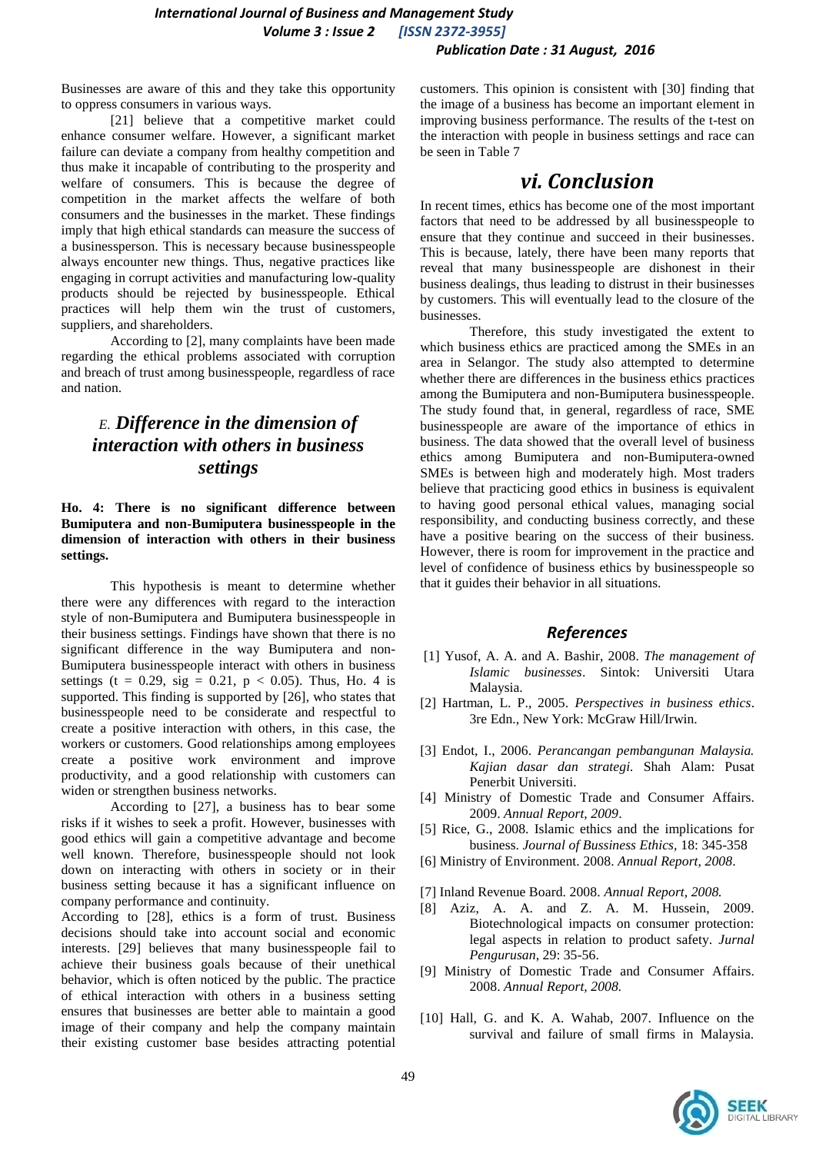Businesses are aware of this and they take this opportunity to oppress consumers in various ways.

[21] believe that a competitive market could enhance consumer welfare. However, a significant market failure can deviate a company from healthy competition and thus make it incapable of contributing to the prosperity and welfare of consumers. This is because the degree of competition in the market affects the welfare of both consumers and the businesses in the market. These findings imply that high ethical standards can measure the success of a businessperson. This is necessary because businesspeople always encounter new things. Thus, negative practices like engaging in corrupt activities and manufacturing low-quality products should be rejected by businesspeople. Ethical practices will help them win the trust of customers, suppliers, and shareholders.

According to [2], many complaints have been made regarding the ethical problems associated with corruption and breach of trust among businesspeople, regardless of race and nation.

### *E. Difference in the dimension of interaction with others in business settings*

**Ho. 4: There is no significant difference between Bumiputera and non-Bumiputera businesspeople in the dimension of interaction with others in their business settings.**

This hypothesis is meant to determine whether there were any differences with regard to the interaction style of non-Bumiputera and Bumiputera businesspeople in their business settings. Findings have shown that there is no significant difference in the way Bumiputera and non-Bumiputera businesspeople interact with others in business settings (t = 0.29, sig = 0.21,  $p$  < 0.05). Thus, Ho. 4 is supported. This finding is supported by [26], who states that businesspeople need to be considerate and respectful to create a positive interaction with others, in this case, the workers or customers. Good relationships among employees create a positive work environment and improve productivity, and a good relationship with customers can widen or strengthen business networks.

According to [27], a business has to bear some risks if it wishes to seek a profit. However, businesses with good ethics will gain a competitive advantage and become well known. Therefore, businesspeople should not look down on interacting with others in society or in their business setting because it has a significant influence on company performance and continuity.

According to [28], ethics is a form of trust. Business decisions should take into account social and economic interests. [29] believes that many businesspeople fail to achieve their business goals because of their unethical behavior, which is often noticed by the public. The practice of ethical interaction with others in a business setting ensures that businesses are better able to maintain a good image of their company and help the company maintain their existing customer base besides attracting potential customers. This opinion is consistent with [30] finding that the image of a business has become an important element in improving business performance. The results of the t-test on the interaction with people in business settings and race can be seen in Table 7

# *vi. Conclusion*

In recent times, ethics has become one of the most important factors that need to be addressed by all businesspeople to ensure that they continue and succeed in their businesses. This is because, lately, there have been many reports that reveal that many businesspeople are dishonest in their business dealings, thus leading to distrust in their businesses by customers. This will eventually lead to the closure of the businesses.

Therefore, this study investigated the extent to which business ethics are practiced among the SMEs in an area in Selangor. The study also attempted to determine whether there are differences in the business ethics practices among the Bumiputera and non-Bumiputera businesspeople. The study found that, in general, regardless of race, SME businesspeople are aware of the importance of ethics in business. The data showed that the overall level of business ethics among Bumiputera and non-Bumiputera-owned SMEs is between high and moderately high. Most traders believe that practicing good ethics in business is equivalent to having good personal ethical values, managing social responsibility, and conducting business correctly, and these have a positive bearing on the success of their business. However, there is room for improvement in the practice and level of confidence of business ethics by businesspeople so that it guides their behavior in all situations.

#### *References*

- [1] Yusof, A. A. and A. Bashir, 2008. *The management of Islamic businesses*. Sintok: Universiti Utara Malaysia.
- [2] Hartman, L. P., 2005. *Perspectives in business ethics*. 3re Edn., New York: McGraw Hill/Irwin.
- [3] Endot, I., 2006. *Perancangan pembangunan Malaysia. Kajian dasar dan strategi.* Shah Alam: Pusat Penerbit Universiti.
- [4] Ministry of Domestic Trade and Consumer Affairs. 2009. *Annual Report, 2009*.
- [5] Rice, G., 2008. Islamic ethics and the implications for business. *Journal of Bussiness Ethics,* 18: 345-358
- [6] Ministry of Environment. 2008. *Annual Report, 2008*.
- [7] Inland Revenue Board. 2008. *Annual Report, 2008.*
- [8] Aziz, A. A. and Z. A. M. Hussein, 2009. Biotechnological impacts on consumer protection: legal aspects in relation to product safety. *Jurnal Pengurusan*, 29: 35-56.
- [9] Ministry of Domestic Trade and Consumer Affairs. 2008. *Annual Report, 2008.*
- [10] Hall, G. and K. A. Wahab, 2007. Influence on the survival and failure of small firms in Malaysia.